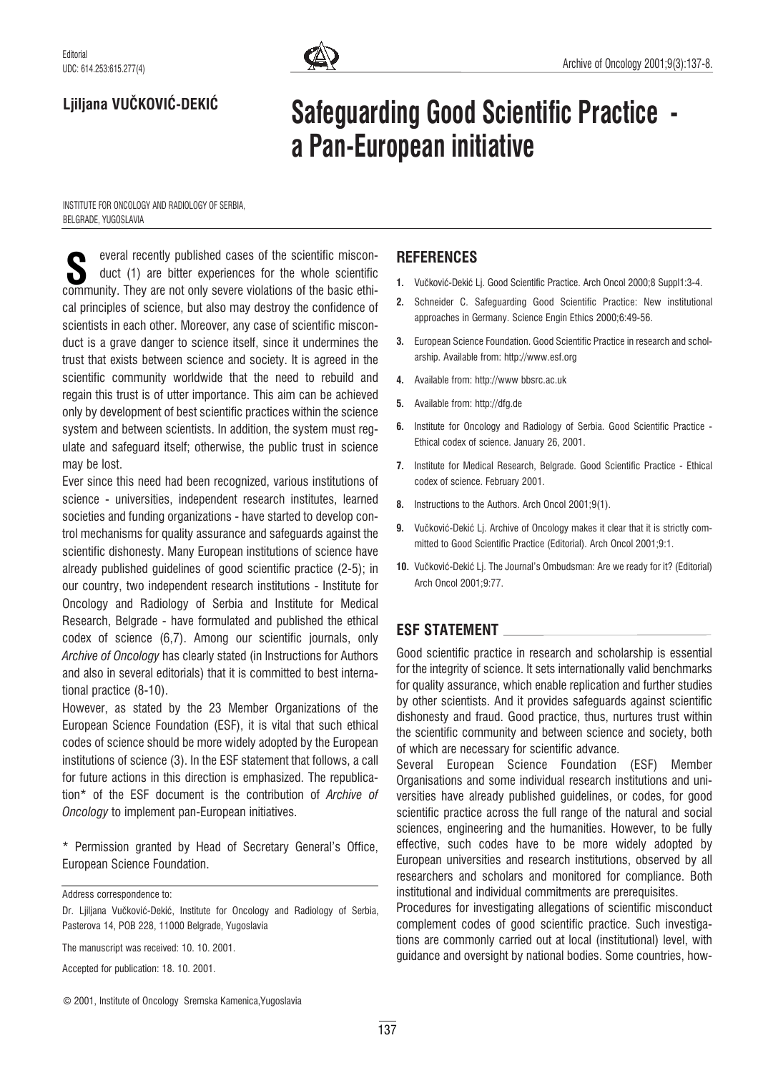

## Ljiljana VUČKOVIĆ-DEKIĆ

# Safeguarding Good Scientific Practice a Pan-European initiative

INSTITUTE FOR ONCOLOGY AND RADIOLOGY OF SERBIA, BELGRADE, YUGOSLAVIA

everal recently published cases of the scientific misconduct (1) are bitter experiences for the whole scientific everal recently published cases of the scientific misconduct (1) are bitter experiences for the whole scientific<br>community. They are not only severe violations of the basic ethical principles of science, but also may destroy the confidence of scientists in each other. Moreover, any case of scientific misconduct is a grave danger to science itself, since it undermines the trust that exists between science and society. It is agreed in the scientific community worldwide that the need to rebuild and regain this trust is of utter importance. This aim can be achieved only by development of best scientific practices within the science system and between scientists. In addition, the system must regulate and safeguard itself; otherwise, the public trust in science may be lost.

Ever since this need had been recognized, various institutions of science - universities, independent research institutes, learned societies and funding organizations - have started to develop control mechanisms for quality assurance and safeguards against the scientific dishonesty. Many European institutions of science have already published guidelines of good scientific practice (2-5); in our country, two independent research institutions - Institute for Oncology and Radiology of Serbia and Institute for Medical Research, Belgrade - have formulated and published the ethical codex of science (6,7). Among our scientific journals, only Archive of Oncology has clearly stated (in Instructions for Authors and also in several editorials) that it is committed to best international practice (8-10).

However, as stated by the 23 Member Organizations of the European Science Foundation (ESF), it is vital that such ethical codes of science should be more widely adopted by the European institutions of science (3). In the ESF statement that follows, a call for future actions in this direction is emphasized. The republication\* of the ESF document is the contribution of Archive of Oncology to implement pan-European initiatives.

\* Permission granted by Head of Secretary General's Office, European Science Foundation.

Address correspondence to:

The manuscript was received: 10. 10. 2001.

## **REFERENCES**

- 1. Vučković-Dekić Lj. Good Scientific Practice. Arch Oncol 2000;8 Suppl1:3-4.
- 2. Schneider C. Safeguarding Good Scientific Practice: New institutional approaches in Germany. Science Engin Ethics 2000;6:49-56.
- 3. European Science Foundation. Good Scientific Practice in research and scholarship. Available from: http://www.esf.org
- 4. Available from: http://www bbsrc.ac.uk
- 5. Available from: http://dfg.de
- 6. Institute for Oncology and Radiology of Serbia. Good Scientific Practice Ethical codex of science. January 26, 2001.
- 7. Institute for Medical Research, Belgrade. Good Scientific Practice Ethical codex of science. February 2001.
- 8. Instructions to the Authors. Arch Oncol 2001;9(1).
- 9. Vučković-Dekić Lj. Archive of Oncology makes it clear that it is strictly committed to Good Scientific Practice (Editorial). Arch Oncol 2001;9:1.
- 10. Vučković-Dekić Li. The Journal's Ombudsman: Are we ready for it? (Editorial) Arch Oncol 2001;9:77.

## ESF STATEMENT

Good scientific practice in research and scholarship is essential for the integrity of science. It sets internationally valid benchmarks for quality assurance, which enable replication and further studies by other scientists. And it provides safeguards against scientific dishonesty and fraud. Good practice, thus, nurtures trust within the scientific community and between science and society, both of which are necessary for scientific advance.

Several European Science Foundation (ESF) Member Organisations and some individual research institutions and universities have already published guidelines, or codes, for good scientific practice across the full range of the natural and social sciences, engineering and the humanities. However, to be fully effective, such codes have to be more widely adopted by European universities and research institutions, observed by all researchers and scholars and monitored for compliance. Both institutional and individual commitments are prerequisites.

Procedures for investigating allegations of scientific misconduct complement codes of good scientific practice. Such investigations are commonly carried out at local (institutional) level, with guidance and oversight by national bodies. Some countries, how-

Dr. Ljiljana Vučković-Dekić, Institute for Oncology and Radiology of Serbia, Pasterova 14, POB 228, 11000 Belgrade, Yugoslavia

Accepted for publication: 18. 10. 2001.

<sup>©</sup> 2001, Institute of Oncology Sremska Kamenica,Yugoslavia